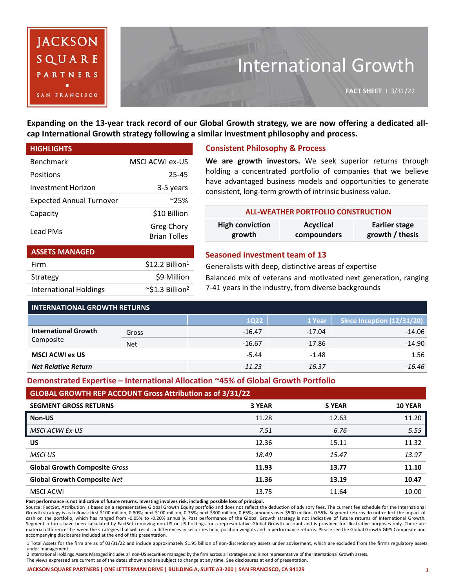

# International Growth

Expanding on the 13-year track record of our Global Growth strategy, we are now offering a dedicated all**cap International Growth strategy following a similar investment philosophy and process.**

| <b>HIGHLIGHTS</b>               |                                          |
|---------------------------------|------------------------------------------|
| Benchmark                       | MSCLACWLex-US                            |
| Positions                       | 25-45                                    |
| <b>Investment Horizon</b>       | 3-5 years                                |
| <b>Expected Annual Turnover</b> | $^{\sim}$ 25%                            |
| Capacity                        | \$10 Billion                             |
| Lead PMs                        | <b>Greg Chory</b><br><b>Brian Tolles</b> |
| <b>ASSETS MANAGED</b>           |                                          |

Firm  $$12.2 \text{ Billion}^1$$ Strategy \$9 Million International Holdings  $\sim$ \$1.3 Billion<sup>2</sup>

## **Consistent Philosophy & Process**

**We are growth investors.** We seek superior returns through holding a concentrated portfolio of companies that we believe have advantaged business models and opportunities to generate consistent, long-term growth of intrinsic business value.

| <b>ALL-WEATHER PORTFOLIO CONSTRUCTION</b> |             |                 |  |  |  |  |
|-------------------------------------------|-------------|-----------------|--|--|--|--|
| <b>High conviction</b>                    | Acyclical   | Earlier stage   |  |  |  |  |
| growth                                    | compounders | growth / thesis |  |  |  |  |

#### **Seasoned investment team of 13**

Generalists with deep, distinctive areas of expertise

Balanced mix of veterans and motivated next generation, ranging 7-41 years in the industry, from diverse backgrounds

| <b>INTERNATIONAL GROWTH RETURNS</b> |            |          |          |                            |  |  |
|-------------------------------------|------------|----------|----------|----------------------------|--|--|
|                                     |            | 1022     | 1 Year   | Since Inception (12/31/20) |  |  |
| <b>International Growth</b>         | Gross      | $-16.47$ | $-17.04$ | $-14.06$                   |  |  |
| Composite                           | <b>Net</b> | $-16.67$ | $-17.86$ | $-14.90$                   |  |  |
| <b>MSCI ACWI ex US</b>              |            | $-5.44$  | $-1.48$  | 1.56                       |  |  |
| <b>Net Relative Return</b>          |            | $-11.23$ | $-16.37$ | -16.46                     |  |  |

### **Demonstrated Expertise – International Allocation ~45% of Global Growth Portfolio**

#### **GLOBAL GROWTH REP ACCOUNT Gross Attribution as of 3/31/22**

| <b>SEGMENT GROSS RETURNS</b>         | 3 YEAR | 5 YEAR | <b>10 YEAR</b> |
|--------------------------------------|--------|--------|----------------|
| Non-US                               | 11.28  | 12.63  | 11.20          |
| <b>MSCI ACWI Ex-US</b>               | 7.51   | 6.76   | 5.55           |
| US                                   | 12.36  | 15.11  | 11.32          |
| MSCI US                              | 18.49  | 15.47  | 13.97          |
| <b>Global Growth Composite Gross</b> | 11.93  | 13.77  | 11.10          |
| <b>Global Growth Composite Net</b>   | 11.36  | 13.19  | 10.47          |
| MSCI ACWI                            | 13.75  | 11.64  | 10.00          |

Past performance is not indicative of future returns. Investing involves risk, including possible loss of principal.

Source: FactSet, Attribution is based on a representative Global Growth Equity portfolio and does not reflect the deduction of advisory fees. The current fee schedule for the International Growth strategy is as follows: first \$100 million, 0.80%; next \$100 million, 0.75%; next \$300 million, 0.65%; amounts over \$500 million, 0.55%. Segment returns do not reflect the impact of cash on the portfolio, which has ranged from -0.05% to -0.20% annually. Past performance of the Global Growth strategy is not indicative of future returns of International Growth.<br>Segment returns have been calculated by Fa material differences between the strategies that will result in differences in securities held, position weights and in performance returns. Please see the Global Growth GIPS Composite and accompanying disclosures included at the end of this presentation.

1 Total Assets for the firm are as of 03/31/22 and include approximately \$1.95 billion of non-discretionary assets under advisement, which are excluded from the firm's regulatory assets under management.

2 International Holdings Assets Managed includes all non-US securities managed by the firm across all strategies and is not representative of the International Growth assets. The views expressed are current as of the dates shown and are subject to change at any time. See disclosures at end of presentation.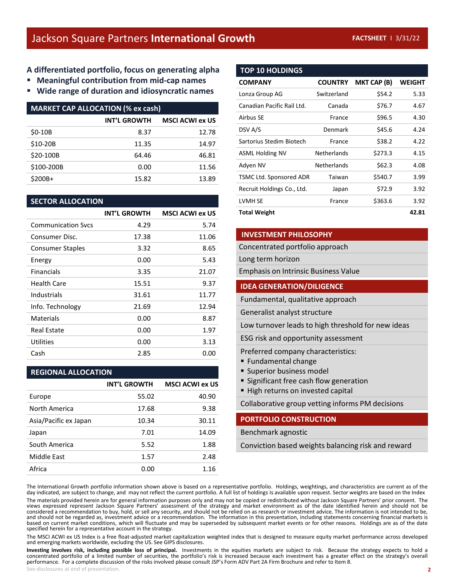# **A differentiated portfolio, focus on generating alpha**

- **Meaningful contribution from mid-cap names**
- **Wide range of duration and idiosyncratic names**

| <b>MARKET CAP ALLOCATION (% ex cash)</b> |                     |                        |  |  |  |
|------------------------------------------|---------------------|------------------------|--|--|--|
|                                          | <b>INT'L GROWTH</b> | <b>MSCI ACWI ex US</b> |  |  |  |
| $$0-10B$                                 | 8.37                | 12.78                  |  |  |  |
| \$10-20B                                 | 11.35               | 14.97                  |  |  |  |
| \$20-100B                                | 64.46               | 46.81                  |  |  |  |
| \$100-200B                               | 0.00                | 11.56                  |  |  |  |
| \$200B+                                  | 15.82               | 13.89                  |  |  |  |

#### **SECTOR ALLOCATION**

|                           | <b>INT'L GROWTH</b> | <b>MSCI ACWI ex US</b> |
|---------------------------|---------------------|------------------------|
| <b>Communication Sycs</b> | 4.29                | 5.74                   |
| Consumer Disc.            | 17.38               | 11.06                  |
| <b>Consumer Staples</b>   | 3.32                | 8.65                   |
| Energy                    | 0.00                | 5.43                   |
| <b>Financials</b>         | 3.35                | 21.07                  |
| Health Care               | 15.51               | 9.37                   |
| Industrials               | 31.61               | 11.77                  |
| Info. Technology          | 21.69               | 12.94                  |
| Materials                 | 0.00                | 8.87                   |
| <b>Real Estate</b>        | 0.00                | 1.97                   |
| Utilities                 | 0.00                | 3.13                   |
| Cash                      | 2.85                | 0.00                   |

#### **REGIONAL ALLOCATION**

|                       | <b>INT'L GROWTH</b> | <b>MSCI ACWI ex US</b> |
|-----------------------|---------------------|------------------------|
| Europe                | 55.02               | 40.90                  |
| North America         | 17.68               | 9.38                   |
| Asia/Pacific ex Japan | 10.34               | 30.11                  |
| Japan                 | 7.01                | 14.09                  |
| South America         | 5.52                | 1.88                   |
| Middle East           | 1.57                | 2.48                   |
| Africa                | 0.00                | 1.16                   |

# **TOP 10 HOLDINGS**

| <b>COMPANY</b>             | <b>COUNTRY</b>     | <b>MKT CAP (B)</b> | <b>WEIGHT</b> |
|----------------------------|--------------------|--------------------|---------------|
| Lonza Group AG             | Switzerland        | \$54.2             | 5.33          |
| Canadian Pacific Rail Ltd. | Canada             | \$76.7             | 4.67          |
| Airbus SE                  | France             | \$96.5             | 4.30          |
| DSV A/S                    | Denmark            | \$45.6             | 4.24          |
| Sartorius Stedim Biotech   | France             | \$38.2             | 4.22          |
| <b>ASML Holding NV</b>     | <b>Netherlands</b> | \$273.3            | 4.15          |
| Adyen NV                   | <b>Netherlands</b> | \$62.3             | 4.08          |
| TSMC Ltd. Sponsored ADR    | Taiwan             | \$540.7            | 3.99          |
| Recruit Holdings Co., Ltd. | Japan              | \$72.9             | 3.92          |
| LVMH SE                    | France             | \$363.6            | 3.92          |
| <b>Total Weight</b>        |                    |                    | 42.81         |

#### **INVESTMENT PHILOSOPHY**

Concentrated portfolio approach

Long term horizon

Emphasis on Intrinsic Business Value

#### **IDEA GENERATION/DILIGENCE**

Fundamental, qualitative approach

Generalist analyst structure

Low turnover leads to high threshold for new ideas

ESG risk and opportunity assessment

Preferred company characteristics:

- Fundamental change
- **Superior business model**
- **Significant free cash flow generation**
- High returns on invested capital

Collaborative group vetting informs PM decisions

#### **PORTFOLIO CONSTRUCTION**

Benchmark agnostic

Conviction based weights balancing risk and reward

The International Growth portfolio information shown above is based on a representative portfolio. Holdings, weightings, and characteristics are current as of the day indicated, are subject to change, and may not reflect the current portfolio. A full list of holdings Is available upon request. Sector weights are based on the Index

The materials provided herein are for general information purposes only and may not be copied or redistributed without Jackson Square Partners' prior consent. The views expressed represent Jackson Square Partners' assessment of the strategy and market environment as of the date identified herein and should not be considered a recommendation to buy, hold, or sell any security, and should not be relied on as research or investment advice. The information is not intended to be, and should not be regarded as, investment advice or a recommendation. The information in this presentation, including statements concerning financial markets is based on current market conditions, which will fluctuate and may be superseded by subsequent market events or for other reasons. Holdings are as of the date specified herein for a representative account in the strategy.

The MSCI ACWI ex US Index is a free float-adjusted market capitalization weighted index that is designed to measure equity market performance across developed and emerging markets worldwide, excluding the US. See GIPS disclosures.

**2** Investing involves risk, including possible loss of principal. Investments in the equities markets are subject to risk. Because the strategy expects to hold a concentrated portfolio of a limited number of securities, the p performance. For a complete discussion of the risks involved please consult JSP's Form ADV Part 2A Firm Brochure and refer to Item 8. See disclosures at end of presentation.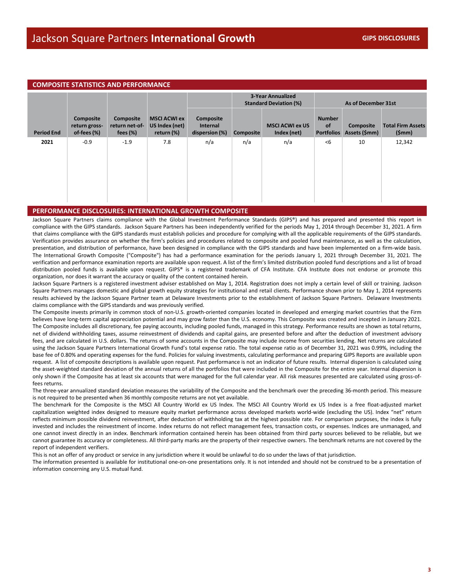| <b>COMPOSITE STATISTICS AND PERFORMANCE</b> |                                              |                                            |                                                     |                                         |                                                           |                                       |                                                 |                            |                                   |  |
|---------------------------------------------|----------------------------------------------|--------------------------------------------|-----------------------------------------------------|-----------------------------------------|-----------------------------------------------------------|---------------------------------------|-------------------------------------------------|----------------------------|-----------------------------------|--|
|                                             |                                              |                                            |                                                     |                                         | <b>3-Year Annualized</b><br><b>Standard Deviation (%)</b> |                                       |                                                 | As of December 31st        |                                   |  |
| <b>Period End</b>                           | Composite<br>return gross-<br>of-fees $(\%)$ | Composite<br>return net-of-<br>fees $(\%)$ | <b>MSCI ACWI ex</b><br>US Index (net)<br>return (%) | Composite<br>Internal<br>dispersion (%) | <b>Composite</b>                                          | <b>MSCI ACWI ex US</b><br>Index (net) | <b>Number</b><br><b>of</b><br><b>Portfolios</b> | Composite<br>Assets (\$mm) | <b>Total Firm Assets</b><br>(Smm) |  |
| 2021                                        | $-0.9$                                       | $-1.9$                                     | 7.8                                                 | n/a                                     | n/a                                                       | n/a                                   | <6                                              | 10                         | 12,342                            |  |

#### **PERFORMANCE DISCLOSURES: INTERNATIONAL GROWTH COMPOSITE**

Jackson Square Partners claims compliance with the Global Investment Performance Standards (GIPS®) and has prepared and presented this report in compliance with the GIPS standards. Jackson Square Partners has been independently verified for the periods May 1, 2014 through December 31, 2021. A firm that claims compliance with the GIPS standards must establish policies and procedure for complying with all the applicable requirements of the GIPS standards. Verification provides assurance on whether the firm's policies and procedures related to composite and pooled fund maintenance, as well as the calculation, presentation, and distribution of performance, have been designed in compliance with the GIPS standards and have been implemented on a firm-wide basis. The International Growth Composite ("Composite") has had a performance examination for the periods January 1, 2021 through December 31, 2021. The verification and performance examination reports are available upon request. A list of the firm's limited distribution pooled fund descriptions and a list of broad distribution pooled funds is available upon request. GIPS® is a registered trademark of CFA Institute. CFA Institute does not endorse or promote this organization, nor does it warrant the accuracy or quality of the content contained herein.

Jackson Square Partners is a registered investment adviser established on May 1, 2014. Registration does not imply a certain level of skill or training. Jackson Square Partners manages domestic and global growth equity strategies for institutional and retail clients. Performance shown prior to May 1, 2014 represents results achieved by the Jackson Square Partner team at Delaware Investments prior to the establishment of Jackson Square Partners. Delaware Investments claims compliance with the GIPS standards and was previously verified.

The Composite invests primarily in common stock of non-U.S. growth-oriented companies located in developed and emerging market countries that the Firm believes have long-term capital appreciation potential and may grow faster than the U.S. economy. This Composite was created and incepted in January 2021. The Composite includes all discretionary, fee paying accounts, including pooled funds, managed in this strategy. Performance results are shown as total returns, net of dividend withholding taxes, assume reinvestment of dividends and capital gains, are presented before and after the deduction of investment advisory fees, and are calculated in U.S. dollars. The returns of some accounts in the Composite may include income from securities lending. Net returns are calculated using the Jackson Square Partners International Growth Fund's total expense ratio. The total expense ratio as of December 31, 2021 was 0.99%, including the base fee of 0.80% and operating expenses for the fund. Policies for valuing investments, calculating performance and preparing GIPS Reports are available upon request. A list of composite descriptions is available upon request. Past performance is not an indicator of future results. Internal dispersion is calculated using the asset-weighted standard deviation of the annual returns of all the portfolios that were included in the Composite for the entire year. Internal dispersion is only shown if the Composite has at least six accounts that were managed for the full calendar year. All risk measures presented are calculated using gross-offees returns.

The three-year annualized standard deviation measures the variability of the Composite and the benchmark over the preceding 36-month period. This measure is not required to be presented when 36 monthly composite returns are not yet available.

The benchmark for the Composite is the MSCI All Country World ex US Index. The MSCI All Country World ex US Index is a free float-adjusted market capitalization weighted index designed to measure equity market performance across developed markets world-wide (excluding the US). Index "net" return reflects minimum possible dividend reinvestment, after deduction of withholding tax at the highest possible rate. For comparison purposes, the index is fully invested and includes the reinvestment of income. Index returns do not reflect management fees, transaction costs, or expenses. Indices are unmanaged, and one cannot invest directly in an index. Benchmark information contained herein has been obtained from third party sources believed to be reliable, but we cannot guarantee its accuracy or completeness. All third-party marks are the property of their respective owners. The benchmark returns are not covered by the report of independent verifiers.

This is not an offer of any product or service in any jurisdiction where it would be unlawful to do so under the laws of that jurisdiction.

The information presented is available for institutional one-on-one presentations only. It is not intended and should not be construed to be a presentation of information concerning any U.S. mutual fund.